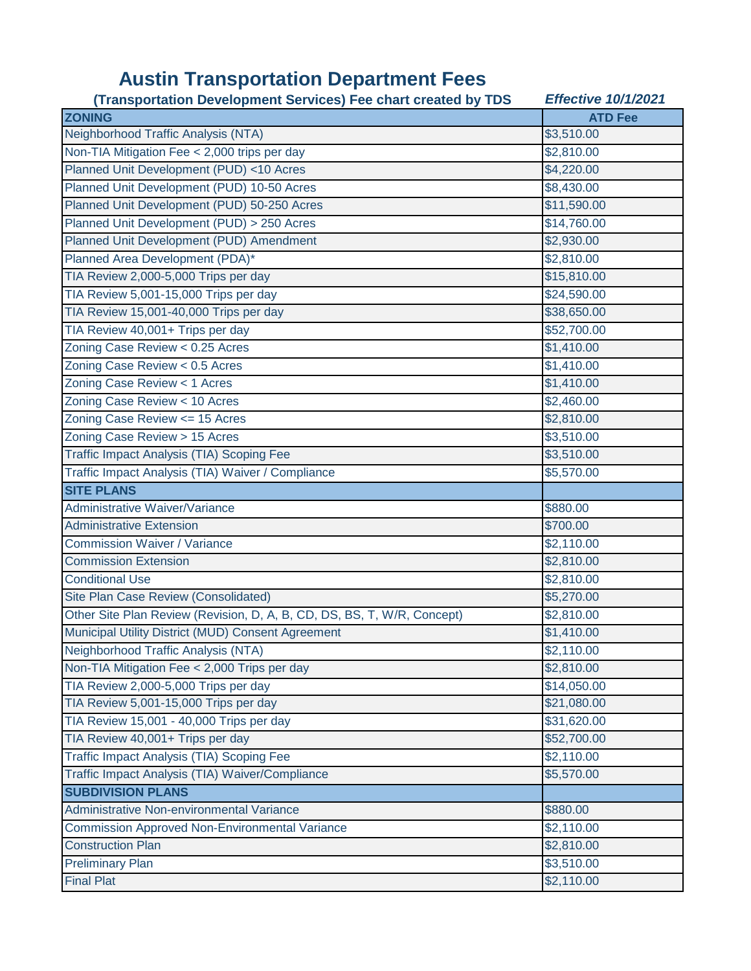## **Austin Transportation Department Fees**

| (Transportation Development Services) Fee chart created by TDS          | <b>Effective 10/1/2021</b> |
|-------------------------------------------------------------------------|----------------------------|
| <b>ZONING</b>                                                           | <b>ATD Fee</b>             |
| Neighborhood Traffic Analysis (NTA)                                     | \$3,510.00                 |
| Non-TIA Mitigation Fee < 2,000 trips per day                            | \$2,810.00                 |
| Planned Unit Development (PUD) <10 Acres                                | \$4,220.00                 |
| Planned Unit Development (PUD) 10-50 Acres                              | \$8,430.00                 |
| Planned Unit Development (PUD) 50-250 Acres                             | \$11,590.00                |
| Planned Unit Development (PUD) > 250 Acres                              | \$14,760.00                |
| Planned Unit Development (PUD) Amendment                                | \$2,930.00                 |
| Planned Area Development (PDA)*                                         | \$2,810.00                 |
| TIA Review 2,000-5,000 Trips per day                                    | \$15,810.00                |
| TIA Review 5,001-15,000 Trips per day                                   | \$24,590.00                |
| TIA Review 15,001-40,000 Trips per day                                  | \$38,650.00                |
| TIA Review 40,001+ Trips per day                                        | \$52,700.00                |
| Zoning Case Review < 0.25 Acres                                         | \$1,410.00                 |
| Zoning Case Review < 0.5 Acres                                          | \$1,410.00                 |
| Zoning Case Review < 1 Acres                                            | \$1,410.00                 |
| Zoning Case Review < 10 Acres                                           | \$2,460.00                 |
| Zoning Case Review <= 15 Acres                                          | \$2,810.00                 |
| Zoning Case Review > 15 Acres                                           | \$3,510.00                 |
| Traffic Impact Analysis (TIA) Scoping Fee                               | \$3,510.00                 |
| Traffic Impact Analysis (TIA) Waiver / Compliance                       | \$5,570.00                 |
| <b>SITE PLANS</b>                                                       |                            |
| Administrative Waiver/Variance                                          | \$880.00                   |
| <b>Administrative Extension</b>                                         | \$700.00                   |
| <b>Commission Waiver / Variance</b>                                     | \$2,110.00                 |
| <b>Commission Extension</b>                                             | \$2,810.00                 |
| <b>Conditional Use</b>                                                  | \$2,810.00                 |
| Site Plan Case Review (Consolidated)                                    | \$5,270.00                 |
| Other Site Plan Review (Revision, D, A, B, CD, DS, BS, T, W/R, Concept) | \$2,810.00                 |
| Municipal Utility District (MUD) Consent Agreement                      | \$1,410.00                 |
| Neighborhood Traffic Analysis (NTA)                                     | \$2,110.00                 |
| Non-TIA Mitigation Fee < 2,000 Trips per day                            | \$2,810.00                 |
| TIA Review 2,000-5,000 Trips per day                                    | \$14,050.00                |
| TIA Review 5,001-15,000 Trips per day                                   | \$21,080.00                |
| TIA Review 15,001 - 40,000 Trips per day                                | \$31,620.00                |
| TIA Review 40,001+ Trips per day                                        | \$52,700.00                |
| Traffic Impact Analysis (TIA) Scoping Fee                               | \$2,110.00                 |
| Traffic Impact Analysis (TIA) Waiver/Compliance                         | \$5,570.00                 |
| <b>SUBDIVISION PLANS</b>                                                |                            |
| Administrative Non-environmental Variance                               | \$880.00                   |
| <b>Commission Approved Non-Environmental Variance</b>                   | \$2,110.00                 |
| <b>Construction Plan</b>                                                | \$2,810.00                 |
| <b>Preliminary Plan</b>                                                 | \$3,510.00                 |
| <b>Final Plat</b>                                                       | \$2,110.00                 |